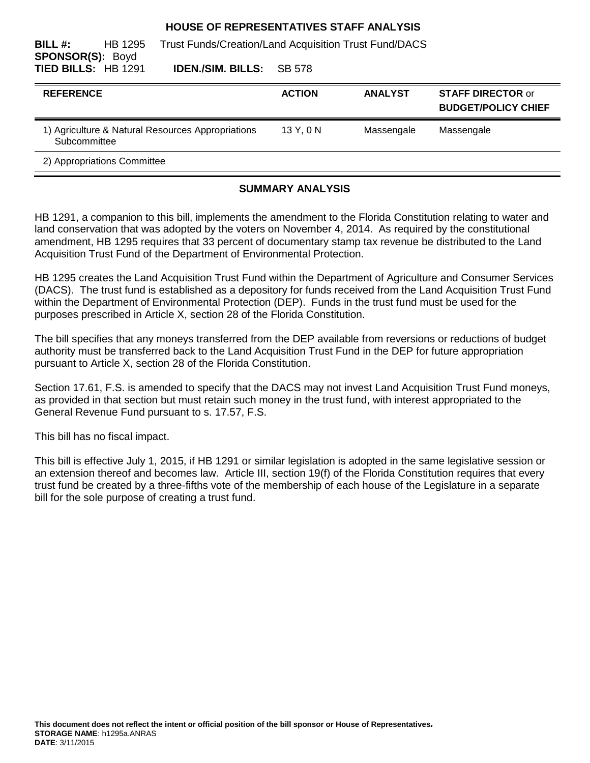#### **HOUSE OF REPRESENTATIVES STAFF ANALYSIS**

| BILL#:<br>HB 1295<br><b>SPONSOR(S): Boyd</b>                      |                          | <b>Trust Funds/Creation/Land Acquisition Trust Fund/DACS</b> |                |                                                        |
|-------------------------------------------------------------------|--------------------------|--------------------------------------------------------------|----------------|--------------------------------------------------------|
| TIED BILLS: HB 1291                                               | <b>IDEN./SIM. BILLS:</b> | SB 578                                                       |                |                                                        |
| <b>REFERENCE</b>                                                  |                          | <b>ACTION</b>                                                | <b>ANALYST</b> | <b>STAFF DIRECTOR or</b><br><b>BUDGET/POLICY CHIEF</b> |
| 1) Agriculture & Natural Resources Appropriations<br>Subcommittee |                          | 13Y.0N                                                       | Massengale     | Massengale                                             |
| 2) Appropriations Committee                                       |                          |                                                              |                |                                                        |

## **SUMMARY ANALYSIS**

HB 1291, a companion to this bill, implements the amendment to the Florida Constitution relating to water and land conservation that was adopted by the voters on November 4, 2014. As required by the constitutional amendment, HB 1295 requires that 33 percent of documentary stamp tax revenue be distributed to the Land Acquisition Trust Fund of the Department of Environmental Protection.

HB 1295 creates the Land Acquisition Trust Fund within the Department of Agriculture and Consumer Services (DACS). The trust fund is established as a depository for funds received from the Land Acquisition Trust Fund within the Department of Environmental Protection (DEP). Funds in the trust fund must be used for the purposes prescribed in Article X, section 28 of the Florida Constitution.

The bill specifies that any moneys transferred from the DEP available from reversions or reductions of budget authority must be transferred back to the Land Acquisition Trust Fund in the DEP for future appropriation pursuant to Article X, section 28 of the Florida Constitution.

Section 17.61, F.S. is amended to specify that the DACS may not invest Land Acquisition Trust Fund moneys, as provided in that section but must retain such money in the trust fund, with interest appropriated to the General Revenue Fund pursuant to s. 17.57, F.S.

This bill has no fiscal impact.

This bill is effective July 1, 2015, if HB 1291 or similar legislation is adopted in the same legislative session or an extension thereof and becomes law. Article III, section 19(f) of the Florida Constitution requires that every trust fund be created by a three-fifths vote of the membership of each house of the Legislature in a separate bill for the sole purpose of creating a trust fund.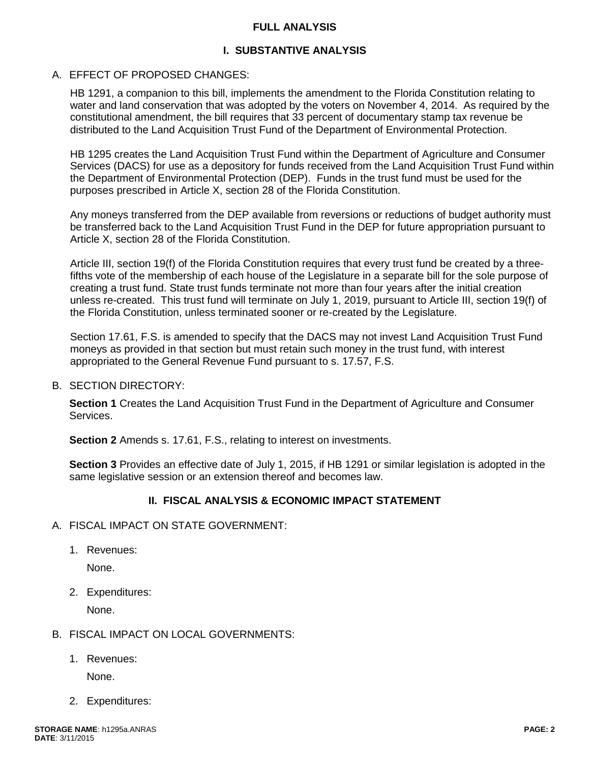#### **FULL ANALYSIS**

## **I. SUBSTANTIVE ANALYSIS**

#### A. EFFECT OF PROPOSED CHANGES:

HB 1291, a companion to this bill, implements the amendment to the Florida Constitution relating to water and land conservation that was adopted by the voters on November 4, 2014. As required by the constitutional amendment, the bill requires that 33 percent of documentary stamp tax revenue be distributed to the Land Acquisition Trust Fund of the Department of Environmental Protection.

HB 1295 creates the Land Acquisition Trust Fund within the Department of Agriculture and Consumer Services (DACS) for use as a depository for funds received from the Land Acquisition Trust Fund within the Department of Environmental Protection (DEP). Funds in the trust fund must be used for the purposes prescribed in Article X, section 28 of the Florida Constitution.

Any moneys transferred from the DEP available from reversions or reductions of budget authority must be transferred back to the Land Acquisition Trust Fund in the DEP for future appropriation pursuant to Article X, section 28 of the Florida Constitution.

Article III, section 19(f) of the Florida Constitution requires that every trust fund be created by a threefifths vote of the membership of each house of the Legislature in a separate bill for the sole purpose of creating a trust fund. State trust funds terminate not more than four years after the initial creation unless re-created. This trust fund will terminate on July 1, 2019, pursuant to Article III, section 19(f) of the Florida Constitution, unless terminated sooner or re-created by the Legislature.

Section 17.61, F.S. is amended to specify that the DACS may not invest Land Acquisition Trust Fund moneys as provided in that section but must retain such money in the trust fund, with interest appropriated to the General Revenue Fund pursuant to s. 17.57, F.S.

#### B. SECTION DIRECTORY:

**Section 1** Creates the Land Acquisition Trust Fund in the Department of Agriculture and Consumer Services.

**Section 2** Amends s. 17.61, F.S., relating to interest on investments.

**Section 3** Provides an effective date of July 1, 2015, if HB 1291 or similar legislation is adopted in the same legislative session or an extension thereof and becomes law.

## **II. FISCAL ANALYSIS & ECONOMIC IMPACT STATEMENT**

- A. FISCAL IMPACT ON STATE GOVERNMENT:
	- 1. Revenues:

None.

2. Expenditures:

None.

- B. FISCAL IMPACT ON LOCAL GOVERNMENTS:
	- 1. Revenues:

None.

2. Expenditures: